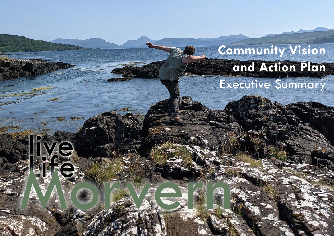# **Community Vision and Action Plan** Executive Summary

rent de la partie de la maison

live C

Hervey C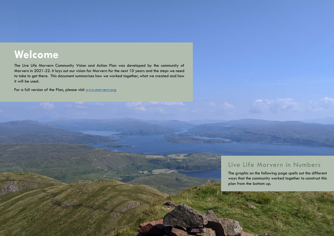## **Welcome**

Morvern

The Live Life Morvern Community Vision and Action Plan was developed by the community of Morvern in 2021-22. It lays out our vision for Morvern for the next 10 years and the steps we need to take to get there. This document summarises how we worked together, what we created and how it will be used.

live Life **<sup>2</sup>**

For a full version of the Plan, please visit [www.morvern.org](http://www.morvern.org)

### Live Life Morvern in Numbers

The graphic on the following page spells out the different ways that the community worked together to construct this plan from the bottom up.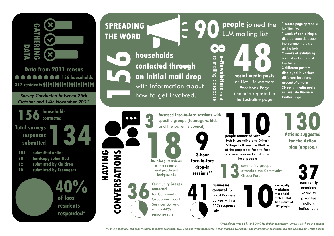

## **Data from 2011 census 156 households 317 residents**

*Survey Conducted between 25th October and 14th November 2021*

**households contacted 156**

**Total surveys responses submitted**

**3**

- **134 104 submitted online**
- **30 hardcopy submitted**
- **12 submitted by Children**
- **10 submitted by Teenagers**



## **SPREADING THE WORD**

 $\bullet$   $\bullet$   $\bullet$ 



**HAVING**<br>**BIONVERSATIONS CONVERSATIONS**

**households contacted through an initial mail drop** with information about how to get involved.

**people** joined the LLM mailing list



**social media posts**  on Live Life Morvern Facebook Page (majority reposted to the Lochaline page)

**1 centre-page spread** in De Tha Dol **1 week of exhibiting** 6 display boards about the community vision at the hub **2 weeks of exhibiting**  6 display boards at the Mine **3 different posters**  displayed in various different locations around Morvern **26 social media posts on Live Life Morvern** 

**Twitter Page**

**3 focussed face-to-face sessions** with specific groups (teenagers, kids and the parent's council) specific groups (teenagers, kids Focussed face-to-face sessions with<br>specific groups (teenagers, kids<br>and the parent's council)<br>**1100 Actions suggested**<br>**1100 Actions suggested**<br>**1100 Actions suggested**<br>**1100 Actions suggested** 



**with a range of local people and backgrounds**

**9 3-hour face-to-face drop-in sessions\*\***

**36Community Groups**<br> **36Community**<br> **36Community**<br> **36Community**<br> **36Community**<br> **36Community contacted**  for Community Group and Local Services Survey, with a **44% response rate**

**410**<br> **410**<br> **410**<br> **410**<br> **410 contacted** for Local Business

Survey with a **44% response**  community groups attended the Community **13** Group Forum

**people connected with** at the Hub in Lochaline and Drimnin Village Hall over the lifetime of the project for face-to-face conversations and input from local people

**10**

**community workshops**  were held with a total headcount of **128 people**

**community 37 members**  voted to prioritise actions indicatively

**for the Action plan (approx.)**

**Actions suggested** 

*\*Typically between 5% and 20% for similar community surveys elsewhere in Scotland*

*\*\*This included one community survey feedback workshop, two Visioning Workshops, three Action Planning Workshops, one Prioritisation Workshop and one Community Group Forum.*

**rate**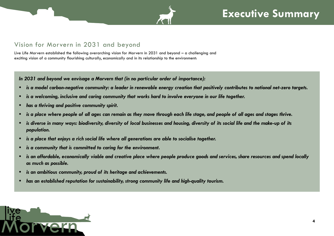### Vision for Morvern in 2031 and beyond

Live Life Morvern established the following overarching vision for Morvern in 2031 and beyond – a challenging and exciting vision of a community flourishing culturally, economically and in its relationship to the environment:

*In 2031 and beyond we envisage a Morvern that (in no particular order of importance):*

- *• is a model carbon-negative community: a leader in renewable energy creation that positively contributes to national net-zero targets.*
- *• is a welcoming, inclusive and caring community that works hard to involve everyone in our life together.*
- *• has a thriving and positive community spirit.*
- *• is a place where people of all ages can remain as they move through each life stage, and people of all ages and stages thrive.*
- *• is diverse in many ways: biodiversity, diversity of local businesses and housing, diversity of its social life and the make-up of its population.*
- *• is a place that enjoys a rich social life where all generations are able to socialise together.*
- *• is a community that is committed to caring for the environment.*
- *• is an affordable, economically viable and creative place where people produce goods and services, share resources and spend locally as much as possible.*
- *• is an ambitious community, proud of its heritage and achievements.*
- *• has an established reputation for sustainability, strong community life and high-quality tourism.*

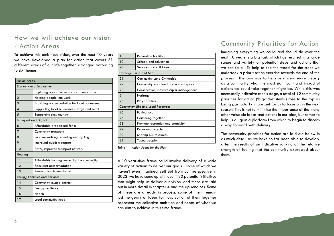### How we will achieve our vision

### - Action Areas

To achieve this ambitious vision, over the next 10 years we have developed a plan for action that covers 31 different areas of our life together, arranged according to six themes.

| <b>Action Areas</b>                    |                                               |  |  |  |
|----------------------------------------|-----------------------------------------------|--|--|--|
| <b>Economy and Employment</b>          |                                               |  |  |  |
| $\mathbf{1}$                           | Exploring opportunities for social enterprise |  |  |  |
| $\overline{2}$                         | Helping people into work                      |  |  |  |
| 3                                      | Providing accommodation for local businesses  |  |  |  |
| $\overline{A}$                         | Supporting local businesses - large and small |  |  |  |
| 5                                      | Supporting slow tourism                       |  |  |  |
| <b>Transport and Digital</b>           |                                               |  |  |  |
| 6                                      | Affordable broadband for all                  |  |  |  |
| 7                                      | Community transport                           |  |  |  |
| 8                                      | Improve walking, wheeling and cycling         |  |  |  |
| 9                                      | Improved public transport                     |  |  |  |
| 10                                     | Safer, improved transport network             |  |  |  |
| Housing                                |                                               |  |  |  |
| 11                                     | Affordable housing owned by the community     |  |  |  |
| 12                                     | Specialist accommodation                      |  |  |  |
| 13                                     | Zero-carbon homes for all                     |  |  |  |
| <b>Energy, Facilities and Services</b> |                                               |  |  |  |
| 14                                     | Community-owned energy                        |  |  |  |
| 15                                     | Energy resilience                             |  |  |  |
| 16                                     | Health                                        |  |  |  |
| 17                                     | Local community hubs                          |  |  |  |

| 18                                        | <b>Recreation facilities</b>           |  |  |  |  |  |
|-------------------------------------------|----------------------------------------|--|--|--|--|--|
| 19                                        | Schools and education                  |  |  |  |  |  |
| 20                                        | Services and childcare                 |  |  |  |  |  |
| Heritage, Land and Sea                    |                                        |  |  |  |  |  |
| 21                                        | Community Land Ownership               |  |  |  |  |  |
| 22                                        | Community woodland and natural space   |  |  |  |  |  |
| 23                                        | Conservation, stewardship & management |  |  |  |  |  |
| 24                                        | Heritage                               |  |  |  |  |  |
| 25                                        | Play facilities                        |  |  |  |  |  |
| <b>Community Life and Local Resources</b> |                                        |  |  |  |  |  |
| 26                                        | <b>Buying local</b>                    |  |  |  |  |  |
| 27                                        | Gathering together                     |  |  |  |  |  |
| 28                                        | Promote recreation and creativity      |  |  |  |  |  |
| 29                                        | Reuse and recycle                      |  |  |  |  |  |
| 30                                        | Sharing our resources                  |  |  |  |  |  |
| 31                                        | Young people                           |  |  |  |  |  |

*Table 1 Action Areas for the Plan*

A 10 year-time frame could involve delivery of a wide variety of actions to deliver our goals – some of which we haven't even imagined yet! But from our perspective in 2022, we have come up with over 130 potential initiatives that might help us deliver our vision, and these are laid out in more detail in chapter 4 and the appendices. Some of these are already in process, some of them remain just the germs of ideas for now. But all of them together represent the collective ambition and hopes of what we can aim to achieve in this time frame.

### Community Priorities for Action

Imagining everything we could and should do over the next 10 years is a big task which has resulted in a large range and variety of potential steps and actions that we can take. To help us see the wood for the trees we undertook a prioritisation exercise towards the end of the process. The aim was to help us discern more clearly as a community what the most significant and impactful actions we could take together might be. While this was necessarily indicative at this stage, a total of 12 community priorities for action ('big-ticket items') rose to the top as being particularly important for us to focus on in the next season. This is not to minimise the importance of the many other valuable ideas and actions in our plan, but rather to help us all gain a platform from which to begin to discern a way forward with delivery.

The community priorities for action are laid out below in as much detail as we have so far been able to develop, after the results of an indicative ranking of the relative strength of feeling that the community expressed about them.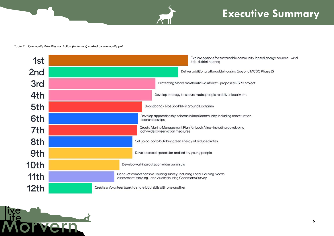#### *Table 2 Community Priorities for Action (indicative) ranked by community poll*

| 1st             | Explore options for sustainable community-based energy sources - wind,<br>tide, district heating                                 |
|-----------------|----------------------------------------------------------------------------------------------------------------------------------|
| 2 <sub>nd</sub> | Deliver additional affordable housing (beyond MCDC Phase 2)                                                                      |
| 3rd             | Protecting Morvern's Atlantic Rainforest - proposed RSPB project                                                                 |
| 4th             | Develop strategy to secure tradespeople to deliver local work                                                                    |
| 5th             | Broadband - 'Not Spot' fill-in around Lochaline                                                                                  |
| 6th             | Develop apprenticeship scheme in local community, including construction<br>apprenticeships                                      |
| 7th             | Create Marine Management Plan for Loch Aline - including developing<br>loch-wide conservation measures                           |
| 8th             | Set up co-op to bulk buy green energy at reduced rates                                                                           |
| 9th             | Develop social spaces for and led-by young people                                                                                |
| 10th            | Develop walking routes on wider peninsula                                                                                        |
| 11th            | Conduct comprehensive Housing survey: including Local Housing Needs<br>Assessment; Housing Land Audit; Housing Conditions Survey |
| 12th            | Create a Volunteer bank to share local skills with one another                                                                   |

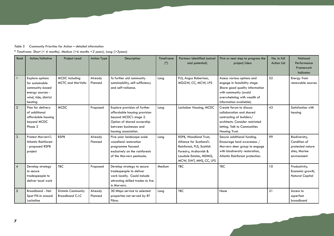### *Table 3 Community Priorities for Action – detailed information*

*\* Timeframe: Short (< 6 months); Medium (>6 months <2 years); Long (>2years)*

| Rank      | Action/Initiative                                                                                            | Project Lead                                | <b>Action Type</b> | Description                                                                                                                                                            | Timeframe<br>$(*)$ | Partners identified (actual<br>and potential)                                                                                                               | First or next step to progress the<br>project/idea                                                                                                                              | No. in full<br><b>Action List</b> | National<br>Performance<br>Framework<br>Indicator                                 |
|-----------|--------------------------------------------------------------------------------------------------------------|---------------------------------------------|--------------------|------------------------------------------------------------------------------------------------------------------------------------------------------------------------|--------------------|-------------------------------------------------------------------------------------------------------------------------------------------------------------|---------------------------------------------------------------------------------------------------------------------------------------------------------------------------------|-----------------------------------|-----------------------------------------------------------------------------------|
| $\vert$ 1 | Explore options<br>for sustainable<br>community-based<br>energy sources -<br>wind, tide, district<br>heating | MCDC including<br><b>MCTC and MorVolts</b>  | Already<br>Planned | To further aid community<br>sustainability, self-sufficiency<br>and self-reliance.                                                                                     | Long               | FLS, Angus Robertson,<br>MGGW, CC, MCW, LPS                                                                                                                 | Assess various options and<br>engage in feasibility stage.<br>Share good quality information<br>with community (avoid<br>overwhelming with wealth of<br>information available). | 52                                | Energy from<br>renewable sources                                                  |
| $\vert$ 2 | Plan for delivery<br>of additional<br>affordable housing<br>beyond MCDC<br>Phase 2                           | <b>MCDC</b>                                 | Proposed           | Explore provision of further<br>affordable housing provision<br>beyond MCDC's stage 2.<br>Option of shared ownership<br>between businesses and<br>housing association. | Long               | Lochaber Housing, MCDC                                                                                                                                      | Create forum to discuss<br>collaboration and shared<br>contracting of builders/<br>architects. Consider restricted<br>letting. Talk to Communities<br>Housing Trust.            | 43                                | Satisfaction with<br>housing                                                      |
| $\vert$ 3 | Protect Morvern's<br><b>Atlantic Rainforest</b><br>proposed RSPB<br>project                                  | <b>RSPB</b>                                 | Already<br>Planned | Five-year landscape scale<br>woodland restoration<br>programme focused<br>exclusively on the rainforests<br>of the Morvern peninsula.                                  | Long               | RSPB, Woodland Trust,<br>Alliance for Scotland's<br>Rainforest, FLS, Scottish<br>Forestry, Ardtornish &<br>Laudale Estates, MDMG,<br>MCW, SWT, MHS, CC, LPS | Secure additional funding.<br>Encourage land awareness /<br>Morvern deer group to engage<br>with biodiversity restoration,<br>Atlantic Rainforest protection.                   | 99                                | Biodiversity,<br>Condition of<br>protected nature<br>sites, Marine<br>environment |
| $\vert$ 4 | Develop strategy<br>to secure<br>tradespeople to<br>deliver local work                                       | <b>TBC</b>                                  | Proposed           | Develop strategy to secure<br>tradespeople to deliver<br>work locally. Could include<br>attracting skilled trades to live<br>in Morvern.                               | Medium             | <b>TBC</b>                                                                                                                                                  | <b>TBC</b>                                                                                                                                                                      | 10                                | Productivity,<br>Economic growth,<br><b>Natural Capital</b>                       |
| 5         | <b>Broadband - Not</b><br>Spot Fill-in around<br>Lochaline                                                   | Drimnin Community<br><b>Broadband C.I.C</b> | Already<br>Planned | 30 Mbps service to selected<br>properties not served by BT<br>Fibre.                                                                                                   | Long               | <b>TBC</b>                                                                                                                                                  | None                                                                                                                                                                            | 21                                | Access to<br>superfast<br>broadband                                               |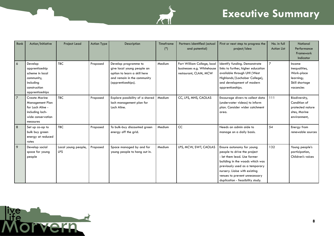| Rank           | Action/Initiative                                                                                               | Project Lead                      | <b>Action Type</b> | Description                                                                                                                             | Timeframe<br>$(*)$ | Partners identified (actual<br>and potential)                                      | First or next step to progress the<br>project/idea                                                                                                                                                                                                                 | No. in full<br><b>Action List</b> | National<br>Performance<br>Framework<br>Indicator                                  |
|----------------|-----------------------------------------------------------------------------------------------------------------|-----------------------------------|--------------------|-----------------------------------------------------------------------------------------------------------------------------------------|--------------------|------------------------------------------------------------------------------------|--------------------------------------------------------------------------------------------------------------------------------------------------------------------------------------------------------------------------------------------------------------------|-----------------------------------|------------------------------------------------------------------------------------|
| $\overline{6}$ | Develop<br>apprenticeship<br>scheme in local<br>community,<br>including<br>construction<br>apprenticeships      | <b>TBC</b>                        | Proposed           | Develop programme to<br>give local young people an<br>option to learn a skill here<br>and remain in the community<br>(apprenticeships). | Medium             | Fort William College, local<br>businesses e.g. Whitehouse<br>restaurant, CLAM, MCW | Identify funding. Demonstrate<br>links to further, higher education<br>available through UHI (West<br>Highlands/(Lochaber College),<br>and development of modern<br>apprenticeships.                                                                               | $\overline{7}$                    | Income<br>inequalities,<br>Work-place<br>learning;<br>Skill shortage<br>vacancies  |
| $\vert$ 7      | <b>Create Marine</b><br>Management Plan<br>for Loch Aline -<br>including loch-<br>wide conservation<br>measures | <b>TBC</b>                        | Proposed           | Explore possibility of a shared<br>loch management plan for<br>Loch Aline.                                                              | Medium             | CC, LPS, MHS, CAOLAS                                                               | Encourage divers to collect data<br>(underwater videos) to inform<br>plan. Consider wider catchment<br>area.                                                                                                                                                       | 111                               | Biodiversity,<br>Condition of<br>protected nature<br>sites, Marine<br>environment, |
| 8              | Set up co-op to<br>bulk buy green<br>energy at reduced<br>rates                                                 | <b>TBC</b>                        | Proposed           | To bulk-buy discounted green<br>energy off the grid.                                                                                    | Medium             | <b>CC</b>                                                                          | Needs an admin aide to<br>manage on a daily basis.                                                                                                                                                                                                                 | 54                                | Energy from<br>renewable sources                                                   |
| $ 9\rangle$    | Develop social<br>space for young<br>people                                                                     | Local young people,<br><b>LPS</b> | Proposed           | Space managed by and for<br>young people to hang out in.                                                                                | Medium             | LPS, MCW, SWT, CAOLAS                                                              | Ensure autonomy for young<br>people to drive the project<br>- let them lead. Use former<br>building in the woods which was<br>previously used as a temporary<br>nursery. Liaise with existing<br>venues to prevent unnecessary<br>duplication - feasibility study. | 132                               | Young people's<br>participation,<br>Children's voices                              |

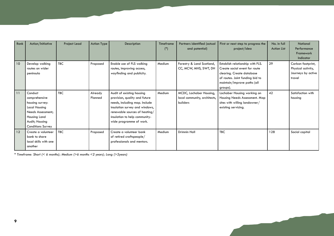| Rank       | Action/Initiative        | Project Lead | <b>Action Type</b> | Description                    | Timeframe | Partners identified (actual  | First or next step to progress the | No. in full        | National           |
|------------|--------------------------|--------------|--------------------|--------------------------------|-----------|------------------------------|------------------------------------|--------------------|--------------------|
|            |                          |              |                    |                                | $(*)$     | and potential)               | project/idea                       | <b>Action List</b> | Performance        |
|            |                          |              |                    |                                |           |                              |                                    |                    | Framework          |
|            |                          |              |                    |                                |           |                              |                                    |                    | Indicator          |
| 10         | Develop walking          | TBC          | Proposed           | Enable use of FLS walking      | Medium    | Forestry & Land Scotland,    | Establish relationship with FLS.   | 29                 | Carbon footprint,  |
|            | routes on wider          |              |                    | routes, improving access,      |           | CC, MCW, MHS, SWT, DH        | Create social event for route      |                    | Physical activity, |
|            | peninsula                |              |                    | wayfinding and publicity.      |           |                              | clearing. Create database          |                    | Journeys by active |
|            |                          |              |                    |                                |           |                              | of routes. Joint funding bid to    |                    | travel             |
|            |                          |              |                    |                                |           |                              | maintain/improve paths (all        |                    |                    |
|            |                          |              |                    |                                |           |                              | groups).                           |                    |                    |
| $\vert$ 11 | Conduct                  | <b>TBC</b>   | Already            | Audit of existing housing      | Medium    | MCDC, Lochaber Housing,      | Lochaber Housing working on        | 42                 | Satisfaction with  |
|            | comprehensive            |              | Planned            | provision, quality and future  |           | local community, architects, | Housing Needs Assessment. Map      |                    | housing            |
|            | housing survey:          |              |                    | needs, including map. Include  |           | builders                     | sites with willing landowner/      |                    |                    |
|            | Local Housing            |              |                    | insulation survey and windows, |           |                              | existing servicing.                |                    |                    |
|            | Needs Assessment;        |              |                    | renewable sources of heating/  |           |                              |                                    |                    |                    |
|            | Housing Land             |              |                    | insulation to help community-  |           |                              |                                    |                    |                    |
|            | Audit; Housing           |              |                    | wide programme of work.        |           |                              |                                    |                    |                    |
|            | <b>Conditions Survey</b> |              |                    |                                |           |                              |                                    |                    |                    |
| 12         | Create a volunteer       | <b>TBC</b>   | Proposed           | Create a volunteer bank        | Medium    | <b>Drimnin Hall</b>          | <b>TBC</b>                         | 128                | Social capital     |
|            | bank to share            |              |                    | of retired craftspeople/       |           |                              |                                    |                    |                    |
|            | local skills with one    |              |                    | professionals and mentors.     |           |                              |                                    |                    |                    |
|            | another                  |              |                    |                                |           |                              |                                    |                    |                    |

*\* Timeframe: Short (< 6 months); Medium (>6 months <2 years); Long (>2years)*

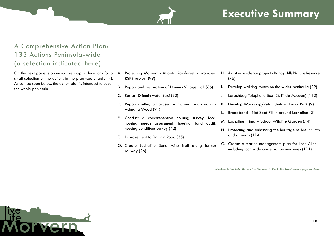## A Comprehensive Action Plan: 133 Actions Peninsula-wide (a selection indicated here)

On the next page is an indicative map of locations for a small selection of the actions in the plan (see chapter 4). As can be seen below, the action plan is intended to cover the whole peninsula

- A. Protecting Morvern's Atlantic Rainforest proposed RSPB project (99)
- B. Repair and restoration of Drimnin Village Hall (66)
- C. Restart Drimnin water taxi (22)
- D. Repair shelter, all access paths, and boardwalks Achnaha Wood (91)
- E. Conduct a comprehensive housing survey: local housing needs assessment; housing, land audit; housing conditions survey (42)
- F. Improvement to Drimnin Road (35)
- G. Create Lochaline Sand Mine Trail along former railway (26)
- H. Artist in residence project Rahoy Hills Nature Reserve (76)
- I. Develop walking routes on the wider peninsula (29)
- J. Larachbeg Telephone Box (St. Kilda Museum) (112)
- K. Develop Workshop/Retail Units at Knock Park (9)
- L. Broadband Not Spot Fill-in around Lochaline (21)
- M. Lochaline Primary School Wildlife Garden (74)
- N. Protecting and enhancing the heritage of Kiel church and grounds (114)
- O. Create a marine management plan for Loch Aline including loch wide conservation measures (111)

*Numbers in brackets after each action refer to the Action Numbers, not page numbers.*

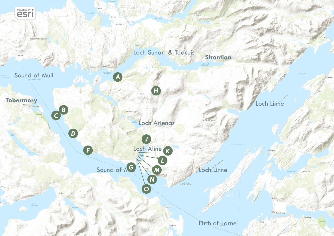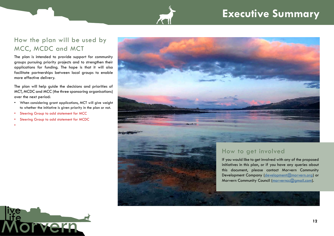## How the plan will be used by MCC, MCDC and MCT

The plan is intended to provide support for community groups pursuing priority projects and to strengthen their applications for funding. The hope is that it will also facilitate partnerships between local groups to enable more effective delivery.

The plan will help guide the decisions and priorities of MCT, MCDC and MCC (the three sponsoring organisations) over the next period:

- When considering grant applications, MCT will give weight to whether the initiative is given priority in the plan or not.
- Steering Group to add statement for MCC
- Steering Group to add statement for MCDC
- •



## How to get involved

If you would like to get involved with any of the proposed initiatives in this plan, or if you have any queries about this document, please contact Morvern Community Development Company [\(development@morvern.org](mailto:development%40morvern.org?subject=Live%20Life%20Morvern%20)) or Morvern Community Council ([morverncc@gmail.com\)](mailto:morverncc%40gmail.com?subject=Live%20Life%20Morvern).

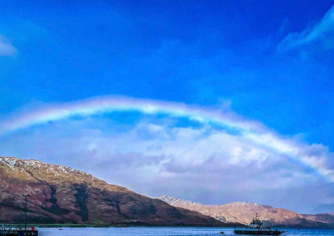